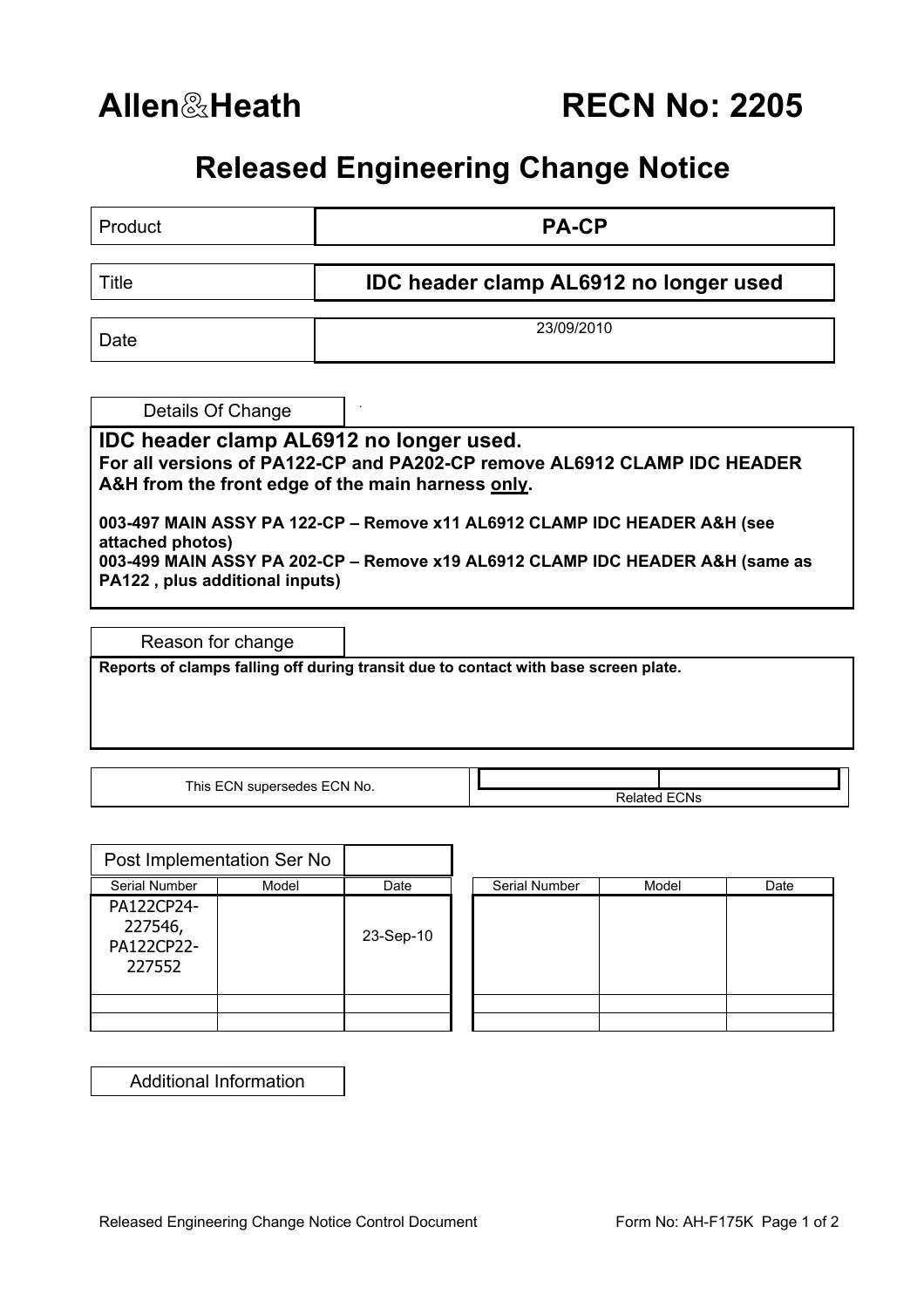**Allen**&**Heath RECN No: 2205**

## **Released Engineering Change Notice**

| Product                                                                                                                                                                                                          | <b>PA-CP</b>                                  |  |  |  |  |
|------------------------------------------------------------------------------------------------------------------------------------------------------------------------------------------------------------------|-----------------------------------------------|--|--|--|--|
| Title                                                                                                                                                                                                            | <b>IDC header clamp AL6912 no longer used</b> |  |  |  |  |
| Date                                                                                                                                                                                                             | 23/09/2010                                    |  |  |  |  |
| Details Of Change                                                                                                                                                                                                |                                               |  |  |  |  |
| IDC header clamp AL6912 no longer used.<br>For all versions of PA122-CP and PA202-CP remove AL6912 CLAMP IDC HEADER<br>A&H from the front edge of the main harness only.                                         |                                               |  |  |  |  |
| 003-497 MAIN ASSY PA 122-CP - Remove x11 AL6912 CLAMP IDC HEADER A&H (see<br>attached photos)<br>003-499 MAIN ASSY PA 202-CP - Remove x19 AL6912 CLAMP IDC HEADER A&H (same as<br>PA122, plus additional inputs) |                                               |  |  |  |  |
| Reason for change                                                                                                                                                                                                |                                               |  |  |  |  |
| Reports of clamps falling off during transit due to contact with base screen plate.                                                                                                                              |                                               |  |  |  |  |

This ECN supersedes ECN No.

Related ECNs

|                                               | Post Implementation Ser No |           |               |       |      |
|-----------------------------------------------|----------------------------|-----------|---------------|-------|------|
| Serial Number                                 | Model                      | Date      | Serial Number | Model | Date |
| PA122CP24-<br>227546,<br>PA122CP22-<br>227552 |                            | 23-Sep-10 |               |       |      |
|                                               |                            |           |               |       |      |
|                                               |                            |           |               |       |      |

| Serial Number | Model | Date |
|---------------|-------|------|
|               |       |      |
|               |       |      |
|               |       |      |
|               |       |      |
|               |       |      |
|               |       |      |

Additional Information